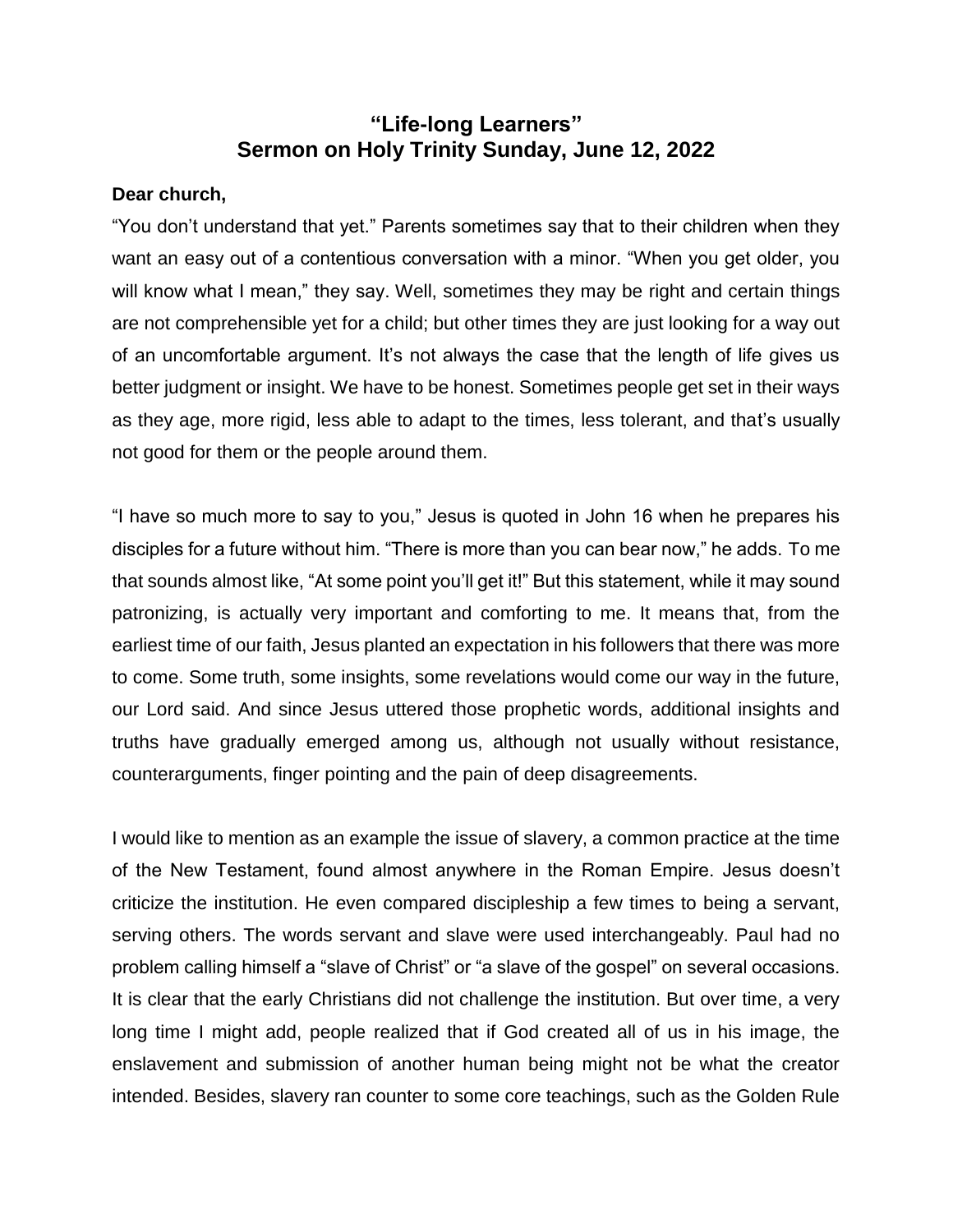## **"Life-long Learners" Sermon on Holy Trinity Sunday, June 12, 2022**

## **Dear church,**

"You don't understand that yet." Parents sometimes say that to their children when they want an easy out of a contentious conversation with a minor. "When you get older, you will know what I mean," they say. Well, sometimes they may be right and certain things are not comprehensible yet for a child; but other times they are just looking for a way out of an uncomfortable argument. It's not always the case that the length of life gives us better judgment or insight. We have to be honest. Sometimes people get set in their ways as they age, more rigid, less able to adapt to the times, less tolerant, and that's usually not good for them or the people around them.

"I have so much more to say to you," Jesus is quoted in John 16 when he prepares his disciples for a future without him. "There is more than you can bear now," he adds. To me that sounds almost like, "At some point you'll get it!" But this statement, while it may sound patronizing, is actually very important and comforting to me. It means that, from the earliest time of our faith, Jesus planted an expectation in his followers that there was more to come. Some truth, some insights, some revelations would come our way in the future, our Lord said. And since Jesus uttered those prophetic words, additional insights and truths have gradually emerged among us, although not usually without resistance, counterarguments, finger pointing and the pain of deep disagreements.

I would like to mention as an example the issue of slavery, a common practice at the time of the New Testament, found almost anywhere in the Roman Empire. Jesus doesn't criticize the institution. He even compared discipleship a few times to being a servant, serving others. The words servant and slave were used interchangeably. Paul had no problem calling himself a "slave of Christ" or "a slave of the gospel" on several occasions. It is clear that the early Christians did not challenge the institution. But over time, a very long time I might add, people realized that if God created all of us in his image, the enslavement and submission of another human being might not be what the creator intended. Besides, slavery ran counter to some core teachings, such as the Golden Rule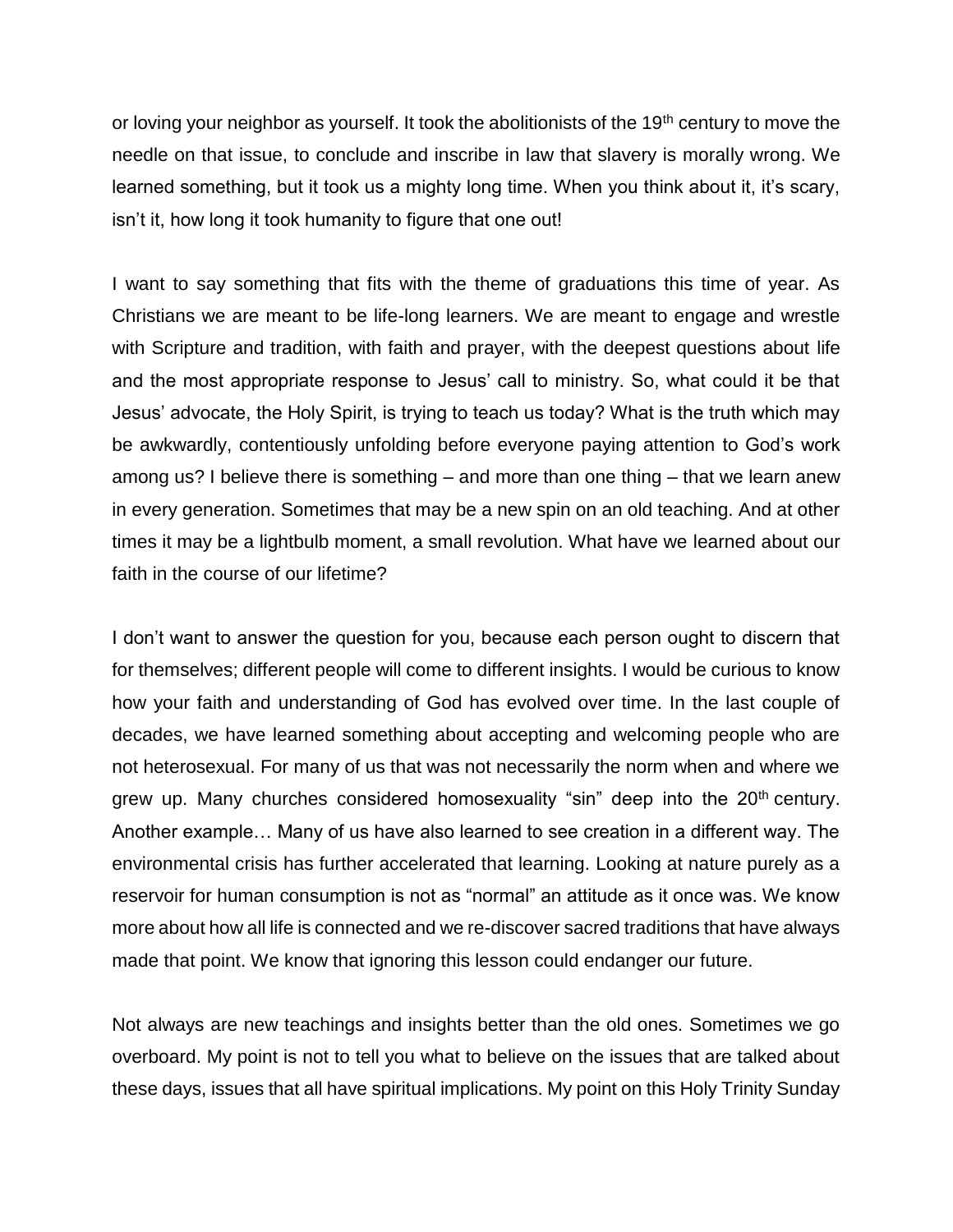or loving your neighbor as yourself. It took the abolitionists of the 19<sup>th</sup> century to move the needle on that issue, to conclude and inscribe in law that slavery is morally wrong. We learned something, but it took us a mighty long time. When you think about it, it's scary, isn't it, how long it took humanity to figure that one out!

I want to say something that fits with the theme of graduations this time of year. As Christians we are meant to be life-long learners. We are meant to engage and wrestle with Scripture and tradition, with faith and prayer, with the deepest questions about life and the most appropriate response to Jesus' call to ministry. So, what could it be that Jesus' advocate, the Holy Spirit, is trying to teach us today? What is the truth which may be awkwardly, contentiously unfolding before everyone paying attention to God's work among us? I believe there is something – and more than one thing – that we learn anew in every generation. Sometimes that may be a new spin on an old teaching. And at other times it may be a lightbulb moment, a small revolution. What have we learned about our faith in the course of our lifetime?

I don't want to answer the question for you, because each person ought to discern that for themselves; different people will come to different insights. I would be curious to know how your faith and understanding of God has evolved over time. In the last couple of decades, we have learned something about accepting and welcoming people who are not heterosexual. For many of us that was not necessarily the norm when and where we grew up. Many churches considered homosexuality "sin" deep into the  $20<sup>th</sup>$  century. Another example… Many of us have also learned to see creation in a different way. The environmental crisis has further accelerated that learning. Looking at nature purely as a reservoir for human consumption is not as "normal" an attitude as it once was. We know more about how all life is connected and we re-discover sacred traditions that have always made that point. We know that ignoring this lesson could endanger our future.

Not always are new teachings and insights better than the old ones. Sometimes we go overboard. My point is not to tell you what to believe on the issues that are talked about these days, issues that all have spiritual implications. My point on this Holy Trinity Sunday